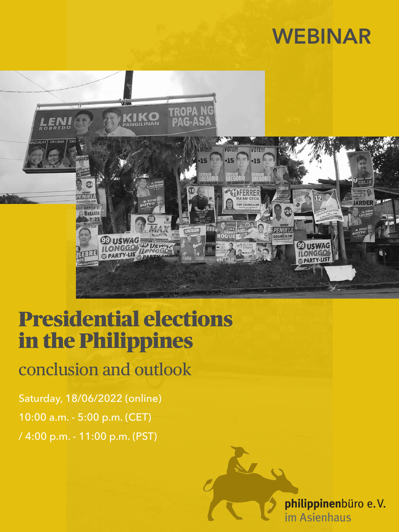# **WEBINAR**



## Presidential elections in the Philippines

### conclusion and outlook

Saturday, 18/06/2022 (online) 10:00 a.m. - 5:00 p.m. (CET) / 4:00 p.m. - 11:00 p.m. (PST)

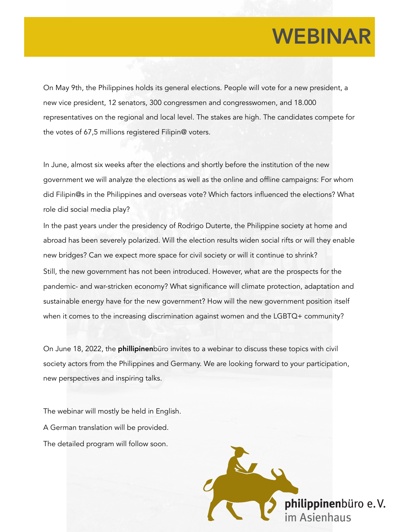## **WEBINAR**

On May 9th, the Philippines holds its general elections. People will vote for a new president, a new vice president, 12 senators, 300 congressmen and congresswomen, and 18.000 representatives on the regional and local level. The stakes are high. The candidates compete for the votes of 67,5 millions registered Filipin@ voters.

In June, almost six weeks after the elections and shortly before the institution of the new government we will analyze the elections as well as the online and offline campaigns: For whom did Filipin@s in the Philippines and overseas vote? Which factors influenced the elections? What role did social media play?

In the past years under the presidency of Rodrigo Duterte, the Philippine society at home and abroad has been severely polarized. Will the election results widen social rifts or will they enable new bridges? Can we expect more space for civil society or will it continue to shrink? Still, the new government has not been introduced. However, what are the prospects for the pandemic- and war-stricken economy? What significance will climate protection, adaptation and sustainable energy have for the new government? How will the new government position itself when it comes to the increasing discrimination against women and the LGBTQ+ community?

On June 18, 2022, the phillipinenbüro invites to a webinar to discuss these topics with civil society actors from the Philippines and Germany. We are looking forward to your participation, new perspectives and inspiring talks.

The webinar will mostly be held in English. A German translation will be provided. The detailed program will follow soon.